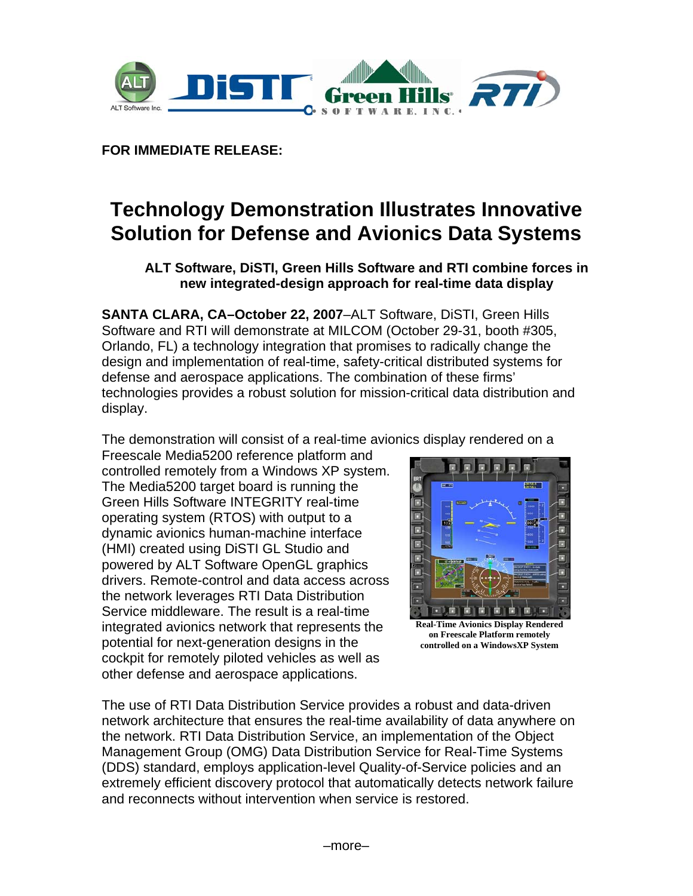

**FOR IMMEDIATE RELEASE:** 

# **Technology Demonstration Illustrates Innovative Solution for Defense and Avionics Data Systems**

# **ALT Software, DiSTI, Green Hills Software and RTI combine forces in new integrated-design approach for real-time data display**

**SANTA CLARA, CA–October 22, 2007**–ALT Software, DiSTI, Green Hills Software and RTI will demonstrate at MILCOM (October 29-31, booth #305, Orlando, FL) a technology integration that promises to radically change the design and implementation of real-time, safety-critical distributed systems for defense and aerospace applications. The combination of these firms' technologies provides a robust solution for mission-critical data distribution and display.

The demonstration will consist of a real-time avionics display rendered on a

Freescale Media5200 reference platform and controlled remotely from a Windows XP system. The Media5200 target board is running the Green Hills Software INTEGRITY real-time operating system (RTOS) with output to a dynamic avionics human-machine interface (HMI) created using DiSTI GL Studio and powered by ALT Software OpenGL graphics drivers. Remote-control and data access across the network leverages RTI Data Distribution Service middleware. The result is a real-time integrated avionics network that represents the potential for next-generation designs in the cockpit for remotely piloted vehicles as well as other defense and aerospace applications.



**Real-Time Avionics Display Rendered on Freescale Platform remotely controlled on a WindowsXP System** 

The use of RTI Data Distribution Service provides a robust and data-driven network architecture that ensures the real-time availability of data anywhere on the network. RTI Data Distribution Service, an implementation of the Object Management Group (OMG) Data Distribution Service for Real-Time Systems (DDS) standard, employs application-level Quality-of-Service policies and an extremely efficient discovery protocol that automatically detects network failure and reconnects without intervention when service is restored.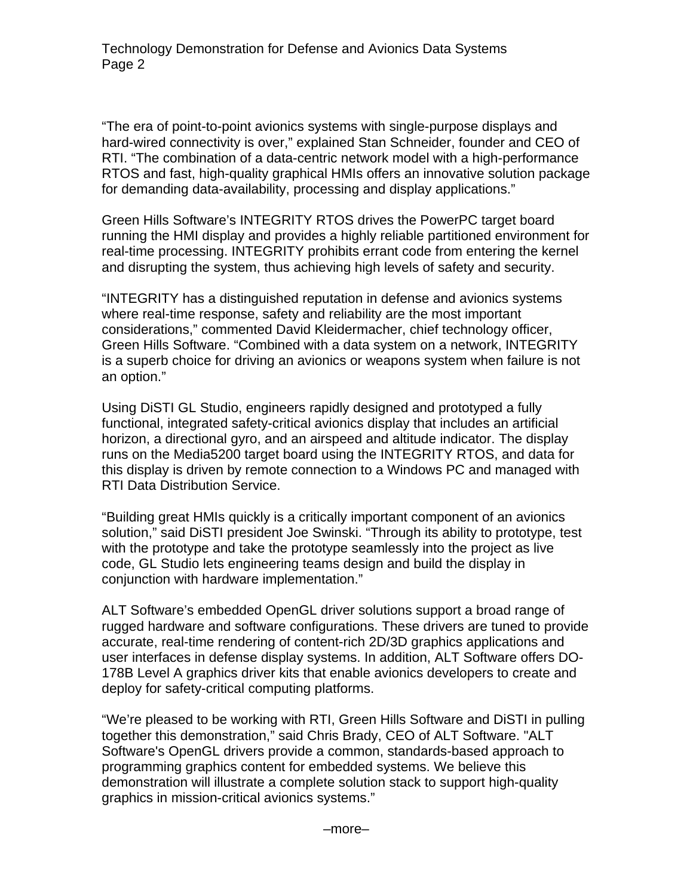"The era of point-to-point avionics systems with single-purpose displays and hard-wired connectivity is over," explained Stan Schneider, founder and CEO of RTI. "The combination of a data-centric network model with a high-performance RTOS and fast, high-quality graphical HMIs offers an innovative solution package for demanding data-availability, processing and display applications."

Green Hills Software's INTEGRITY RTOS drives the PowerPC target board running the HMI display and provides a highly reliable partitioned environment for real-time processing. INTEGRITY prohibits errant code from entering the kernel and disrupting the system, thus achieving high levels of safety and security.

"INTEGRITY has a distinguished reputation in defense and avionics systems where real-time response, safety and reliability are the most important considerations," commented David Kleidermacher, chief technology officer, Green Hills Software. "Combined with a data system on a network, INTEGRITY is a superb choice for driving an avionics or weapons system when failure is not an option."

Using DiSTI GL Studio, engineers rapidly designed and prototyped a fully functional, integrated safety-critical avionics display that includes an artificial horizon, a directional gyro, and an airspeed and altitude indicator. The display runs on the Media5200 target board using the INTEGRITY RTOS, and data for this display is driven by remote connection to a Windows PC and managed with RTI Data Distribution Service.

"Building great HMIs quickly is a critically important component of an avionics solution," said DiSTI president Joe Swinski. "Through its ability to prototype, test with the prototype and take the prototype seamlessly into the project as live code, GL Studio lets engineering teams design and build the display in conjunction with hardware implementation."

ALT Software's embedded OpenGL driver solutions support a broad range of rugged hardware and software configurations. These drivers are tuned to provide accurate, real-time rendering of content-rich 2D/3D graphics applications and user interfaces in defense display systems. In addition, ALT Software offers DO-178B Level A graphics driver kits that enable avionics developers to create and deploy for safety-critical computing platforms.

"We're pleased to be working with RTI, Green Hills Software and DiSTI in pulling together this demonstration," said Chris Brady, CEO of ALT Software. "ALT Software's OpenGL drivers provide a common, standards-based approach to programming graphics content for embedded systems. We believe this demonstration will illustrate a complete solution stack to support high-quality graphics in mission-critical avionics systems."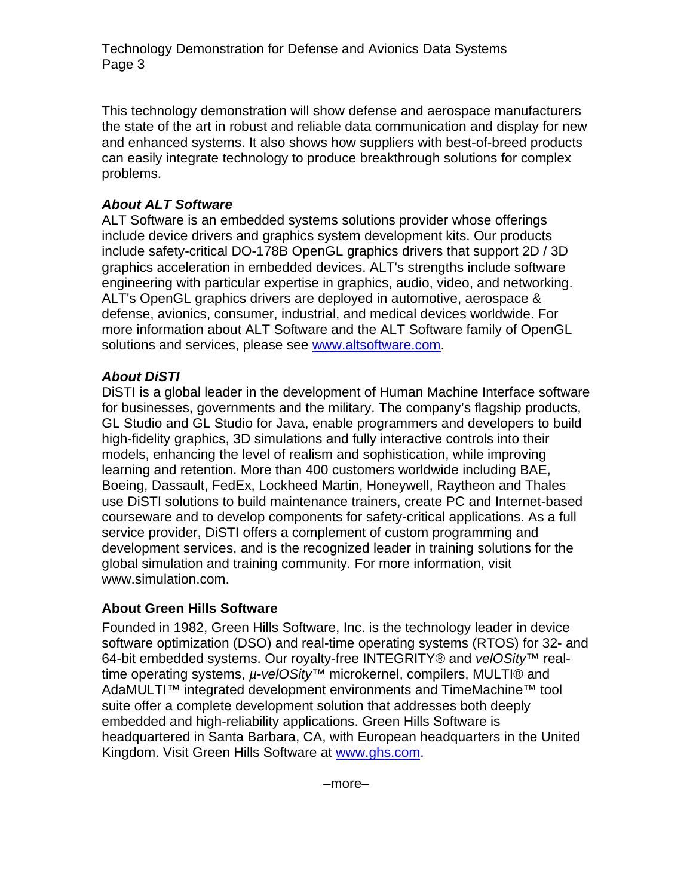Technology Demonstration for Defense and Avionics Data Systems Page 3

This technology demonstration will show defense and aerospace manufacturers the state of the art in robust and reliable data communication and display for new and enhanced systems. It also shows how suppliers with best-of-breed products can easily integrate technology to produce breakthrough solutions for complex problems.

# *About ALT Software*

ALT Software is an embedded systems solutions provider whose offerings include device drivers and graphics system development kits. Our products include safety-critical DO-178B OpenGL graphics drivers that support 2D / 3D graphics acceleration in embedded devices. ALT's strengths include software engineering with particular expertise in graphics, audio, video, and networking. ALT's OpenGL graphics drivers are deployed in automotive, aerospace & defense, avionics, consumer, industrial, and medical devices worldwide. For more information about ALT Software and the ALT Software family of OpenGL solutions and services, please see www.altsoftware.com.

# *About DiSTI*

DiSTI is a global leader in the development of Human Machine Interface software for businesses, governments and the military. The company's flagship products, GL Studio and GL Studio for Java, enable programmers and developers to build high-fidelity graphics, 3D simulations and fully interactive controls into their models, enhancing the level of realism and sophistication, while improving learning and retention. More than 400 customers worldwide including BAE, Boeing, Dassault, FedEx, Lockheed Martin, Honeywell, Raytheon and Thales use DiSTI solutions to build maintenance trainers, create PC and Internet-based courseware and to develop components for safety-critical applications. As a full service provider, DiSTI offers a complement of custom programming and development services, and is the recognized leader in training solutions for the global simulation and training community. For more information, visit www.simulation.com.

# **About Green Hills Software**

Founded in 1982, Green Hills Software, Inc. is the technology leader in device software optimization (DSO) and real-time operating systems (RTOS) for 32- and 64-bit embedded systems. Our royalty-free INTEGRITY® and *velOSity™* realtime operating systems, *µ-velOSity™* microkernel, compilers, MULTI® and AdaMULTI™ integrated development environments and TimeMachine<sup>™</sup> tool suite offer a complete development solution that addresses both deeply embedded and high-reliability applications. Green Hills Software is headquartered in Santa Barbara, CA, with European headquarters in the United Kingdom. Visit Green Hills Software at www.ghs.com.